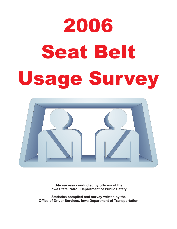# 2006 **Seat Belt** Seat Belti Belti Belti Belti Belti Belti Belti Belti Belti Belti Belti Belti Belti Belti Belti Belti Belti Bel<br>Seat Belti Belti Belti Belti Belti Belti Belti Belti Belti Belti Belti Belti Belti Belti Belti Belti Belti Bel



**Site surveys conducted by officers of the Iowa State Patrol, Department of Public Safety**

**Statistics compiled and survey written by the Office of Driver Services, Iowa Department of Transportation**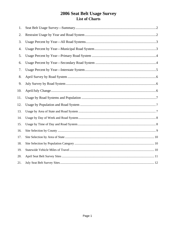## 2006 Seat Belt Usage Survey List of Charts

| 1.  |  |
|-----|--|
| 2.  |  |
| 3.  |  |
| 4.  |  |
| 5.  |  |
| 6.  |  |
| 7.  |  |
| 8.  |  |
| 9.  |  |
| 10. |  |
| 11. |  |
| 12. |  |
| 13. |  |
| 14. |  |
| 15. |  |
| 16. |  |
| 17. |  |
| 18. |  |
| 19. |  |
| 20. |  |
| 21. |  |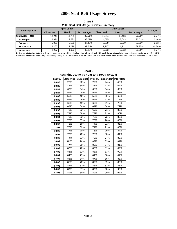## **2010 Sat Belt Usage Survey 2006 Seat Belt Usage Survey**

**Chart 1 2006 Seat Belt Usage Survey--Summary**

| <b>Road System</b> |                 | <b>April Usage</b> | <b>July Usage</b> |                 |             |            | Change   |
|--------------------|-----------------|--------------------|-------------------|-----------------|-------------|------------|----------|
|                    | <b>Observed</b> | <b>Used</b>        | Percentage        | <b>Observed</b> | <b>Used</b> | Percentage |          |
| l Statewide Total  | 13.246          | 11.709             | 88.61%            | 15.094          | 13.466      | 89.55%     | 0.94%    |
| <b>Municipal</b>   | 2.874           | 2.531              | 88.07%            | 4.025           | 3.643       | 90.51%     | 2.44%    |
| Primary            | 5.900           | 5.158              | 87.42%            | 6.889           | 6.030       | 87.53%     | 0.11%    |
| Secondary          | 2,265           | 2.028              | 89.54%            | 1.917           | 1.711       | 89.25%     | $-0.28%$ |
| <b>Interstate</b>  | 2,207           | 1.992              | 90.26%            | 2,263           | 2,082       | 92.00%     | 1.74%    |

**Est imat ed st at ewide t ot al A pril survey usage weight ed by vehicles miles of t ravel and 9 5% conf idence int ervals f or t he est imat ed variance are +/ - 0 .18 %** Estimated statewide total July survey usage weighted by vehicles miles of travel and 95% confidence intervals for the estimated variance are +/- 0.15%

| Restratific Usage by Teal and Road System |     |                     |         |                      |     |  |  |  |  |
|-------------------------------------------|-----|---------------------|---------|----------------------|-----|--|--|--|--|
| Survey                                    |     | Statewide Municipal | Primary | Secondary Interstate |     |  |  |  |  |
| 06/86                                     | 27% | 20%                 | 27%     | 24%                  | 43% |  |  |  |  |
| 09/86                                     | 46% | 34%                 | 48%     | 42%                  | 62% |  |  |  |  |
| 04/87                                     | 63% | 54%                 | 65%     | 64%                  | 69% |  |  |  |  |
| 09/87                                     | 56% | 48%                 | 56%     | 55%                  | 67% |  |  |  |  |
| 09/88                                     | 55% | 46%                 | 55%     | 52%                  | 69% |  |  |  |  |
| 09/89                                     | 59% | 49%                 | 56%     | 61%                  | 72% |  |  |  |  |
| 09/90                                     | 61% | 49%                 | 60%     | 61%                  | 76% |  |  |  |  |
| 09/91                                     | 68% | 64%                 | 64%     | 64%                  | 79% |  |  |  |  |
| 09/92                                     | 71% | 62%                 | 69%     | 71%                  | 83% |  |  |  |  |
| 09/93                                     | 73% | 59%                 | 73%     | 71%                  | 80% |  |  |  |  |
| 09/94                                     | 73% | 63%                 | 72%     | 72%                  | 82% |  |  |  |  |
| 09/95                                     | 75% | 65%                 | 75%     | 76%                  | 85% |  |  |  |  |
| 09/96                                     | 75% | 69%                 | 74%     | 71%                  | 85% |  |  |  |  |
| 11/97                                     | 75% | 69%                 | 74%     | 71%                  | 85% |  |  |  |  |
| 10/98                                     | 77% | 70%                 | 76%     | 79%                  | 84% |  |  |  |  |
| 10/99                                     | 78% | 72%                 | 78%     | 80%                  | 84% |  |  |  |  |
| 10/00                                     | 78% | 73%                 | 79%     | 77%                  | 82% |  |  |  |  |
| 10/01                                     | 81% | 76%                 | 83%     | 83%                  | 81% |  |  |  |  |
| 09/02                                     | 82% | 79%                 | 83%     | 87%                  | 81% |  |  |  |  |
| 03/03                                     | 82% | 78%                 | 86%     | 81%                  | 82% |  |  |  |  |
| 07/03                                     | 86% | 82%                 | 88%     | 83%                  | 90% |  |  |  |  |
| 04/04                                     | 84% | 79%                 | 84%     | 88%                  | 84% |  |  |  |  |
| 07/04                                     | 86% | 84%                 | 87%     | 86%                  | 88% |  |  |  |  |
| 04/05                                     | 85% | 78%                 | 87%     | 89%                  | 85% |  |  |  |  |
| 07/05                                     | 86% | 81%                 | 86%     | 87%                  | 88% |  |  |  |  |
| 04/06                                     | 89% | 87%                 | 89%     | 90%                  | 90% |  |  |  |  |
| 07/06                                     | 89% | 84%                 | 89%     | 90%                  | 92% |  |  |  |  |

| <b>Chart 2</b>                                 |  |  |  |  |  |
|------------------------------------------------|--|--|--|--|--|
| <b>Restraint Usage by Year and Road System</b> |  |  |  |  |  |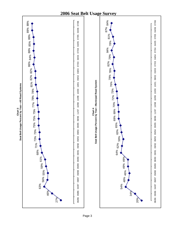

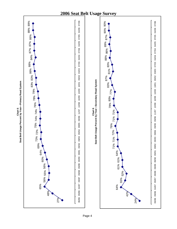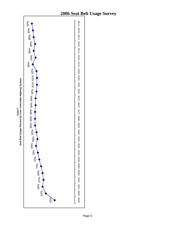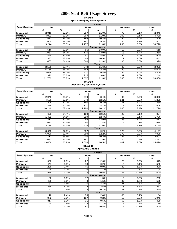**Chart 8 April Survey by Road System**

|                    | <b>Drivers</b>    |               |             |               |                 |               |        |  |
|--------------------|-------------------|---------------|-------------|---------------|-----------------|---------------|--------|--|
| <b>Road System</b> | <b>Belt</b>       |               | <b>None</b> |               | <b>Unknown</b>  |               | Total  |  |
|                    | #                 | $\frac{9}{6}$ | #           | $\frac{9}{6}$ | #               | $\frac{9}{6}$ | #      |  |
| <b>Municipal</b>   | 2,015             | 85.9%         | 257         | 11.0%         | 73              | 3.1%          | 2,345  |  |
| Primary            | 4,091             | 85.9%         | 567         | 11.9%         | 102             | 2.1%          | 4,760  |  |
| <b>Secondary</b>   | .533              | 84.7%         | 186         | 10.3%         | 90 <sub>1</sub> | 5.0%          | 1,809  |  |
| Interstate         | ,605              | 89.1%         | 167         | 9.3%          | 30 <sup>1</sup> | 1.7%          | 1,802  |  |
| Total              | 9,244             | 86.3%         | 1,177       | 11.0%         | 295             | 2.8%          | 10,716 |  |
|                    | <b>Passengers</b> |               |             |               |                 |               |        |  |
| Municipal          | 516               | 83.5%         | 86          | 13.9%         | 16 <sup>1</sup> | 2.6%          | 618    |  |
| Primary            | ,067              | 84.7%         | 175         | 13.9%         | 18              | 1.4%          | 1,260  |  |
| Secondary          | 495               | 82.5%         | 51          | 8.5%          | 54              | 9.0%          | 600    |  |
| Interstate         | 387               | 87.6%         | 48          | 10.9%         |                 | 1.6%          | 442    |  |
| Total              | 2,465             | 84.4%         | 360         | 12.3%         | 95              | 3.3%          | 2,920  |  |
|                    |                   |               |             | <b>Total</b>  |                 |               |        |  |
| <b>Municipal</b>   | 2,531             | 85.4%         | 343         | 11.6%         | 89              | 3.0%          | 2,963  |  |
| Primary            | 5,158             | 85.7%         | 742         | 12.3%         | 120             | 2.0%          | 6,020  |  |
| Secondary          | 2,028             | 84.2%         | 237         | 9.8%          | 144             | 6.0%          | 2,409  |  |
| Interstate         | .992              | 88.8%         | 215         | 9.6%          | 37              | 1.6%          | 2,244  |  |
| Total              | 11,709            | 85.9%         | 1,537       | 11.3%         | 390             | 2.9%          | 13,636 |  |

#### **Chart 9**

**July Survey by Road System**

|                    | <b>Drivers</b> |       |             |                   |                 |      |        |  |  |
|--------------------|----------------|-------|-------------|-------------------|-----------------|------|--------|--|--|
| <b>Road System</b> | <b>Belt</b>    |       | <b>None</b> |                   | <b>Unknown</b>  |      | Total  |  |  |
|                    | #              | %     | #           | %                 | #               | %    | #      |  |  |
| <b>Municipal</b>   | 2,945          | 88.7% | 279         | 8.4%              | 96              | 2.9% | 3,320  |  |  |
| Primary            | 4,538          | 85.6% | 640         | 12.1%             | 121             | 2.3% | 5,299  |  |  |
| <b>Secondary</b>   | 1,298          | 87.2% | 140         | 9.4%              | 51              | 3.4% | 1,489  |  |  |
| <b>Interstate</b>  | 1,459          | 90.7% | 131         | 8.1%              | 18              | 1.1% | 1,608  |  |  |
| Total              | 10,240         | 87.4% | 1,190       | 10.2%             | 286             | 2.4% | 11,716 |  |  |
|                    |                |       |             | <b>Passengers</b> |                 |      |        |  |  |
| <b>Municipal</b>   | 698            | 84.4% | 103         | 12.5%             | 26              | 3.1% | 827    |  |  |
| Primary            | 1,492          | 84.5% | 219         | 12.4%             | 55              | 3.1% | 1,766  |  |  |
| Secondary          | 413            | 80.7% | 66          | 12.9%             | 33              | 6.4% | 512    |  |  |
| <b>Interstate</b>  | 623            | 92.3% | 50          | 7.4%              | 2               | 0.3% | 675    |  |  |
| Total              | 3,226          | 85.3% | 438         | 11.6%             | 116             | 3.1% | 3,780  |  |  |
|                    |                |       |             | <b>Total</b>      |                 |      |        |  |  |
| <b>Municipal</b>   | 3,643          | 87.8% | 382         | 9.2%              | 122             | 2.9% | 4,147  |  |  |
| Primary            | 6,030          | 85.4% | 859         | 12.2%             | 176             | 2.5% | 7,065  |  |  |
| Secondary          | 1,711          | 85.5% | 206         | 10.3%             | 84              | 4.2% | 2,001  |  |  |
| <b>Interstate</b>  | 2,082          | 91.2% | 181         | 7.9%              | 20 <sub>1</sub> | 0.9% | 2,283  |  |  |
| Total              | 13,466         | 86.9% | 1,628       | 10.5%             | 402             | 2.6% | 15,496 |  |  |

#### **Chart 10 April/July Change**

|                    | <b>Drivers</b> |         |                |                   |                |         |        |  |
|--------------------|----------------|---------|----------------|-------------------|----------------|---------|--------|--|
| <b>Road System</b> | <b>Belt</b>    |         | <b>None</b>    |                   | <b>Unknown</b> |         | Total  |  |
|                    | #              | $\%$    | #              | $\%$              | #              | $\%$    | #      |  |
| <b>Municipal</b>   | 930            | 2.8%    | 22             | $-2.6%$           | 23             | $-0.2%$ | 975    |  |
| Primary            | 447            | $-0.3%$ | 73             | 0.2%              | 19             | 0.1%    | 539    |  |
| Secondary          | $-235$         | 2.4%    | $-46$          | $-0.9%$           | $-39$          | $-1.6%$ | $-320$ |  |
| <b>Interstate</b>  | $-146$         | 1.7%    | $-36$          | $-1.1%$           | $-12$          | $-0.5%$ | $-194$ |  |
| Total              | 996            | 1.1%    | 13             | $-0.8%$           | -9             | $-0.3%$ | 1,000  |  |
|                    |                |         |                | <b>Passengers</b> |                |         |        |  |
| <b>Municipal</b>   | 182            | 0.9%    | 17             | $-1.5%$           | 10             | 0.6%    | 209    |  |
| Primary            | 425            | $-0.2%$ | 44             | $-1.5%$           | 37             | 1.7%    | 506    |  |
| Secondary          | $-82$          | $-1.8%$ | 15             | 4.4%              | $-21$          | $-2.6%$ | $-88$  |  |
| <b>Interstate</b>  | 236            | 4.7%    | $\overline{2}$ | $-3.5%$           | -5             | $-1.3%$ | 233    |  |
| Total              | 761            | 0.9%    | 78             | $-0.7%$           | 21             | $-0.2%$ | 860    |  |
|                    |                |         |                | <b>Total</b>      |                |         |        |  |
| <b>Municipal</b>   | 1,112          | 2.4%    | 39             | $-2.4%$           | 33             | $-0.1%$ | 1,184  |  |
| Primary            | 872            | $-0.3%$ | 117            | $-0.2%$           | 56             | 0.5%    | 1,045  |  |
| Secondary          | $-317$         | 1.3%    | $-31$          | 0.5%              | -60            | $-1.8%$ | $-408$ |  |
| <b>Interstate</b>  | 90             | 2.4%    | $-34$          | $-1.7%$           | $-17$          | $-0.8%$ | 39     |  |
| Total              | 1,757          | 1.0%    | 91             | $-0.8%$           | 12             | $-0.3%$ | 1,860  |  |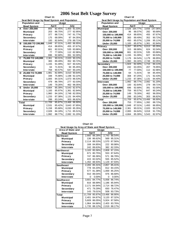|              | Chart 11                                      |              |        |                    |              |  |  |  |  |
|--------------|-----------------------------------------------|--------------|--------|--------------------|--------------|--|--|--|--|
|              | Seat Belt Usage by Road System and Population |              |        |                    |              |  |  |  |  |
|              | <b>Population and</b>                         | <b>Usage</b> |        |                    |              |  |  |  |  |
|              | <b>Road System</b>                            |              | April  |                    | July         |  |  |  |  |
| A            | Over 200,000                                  | 855          | 82.45% |                    | 1,400 91.03% |  |  |  |  |
|              | <b>Municipal</b>                              | 203          | 86.75% | 277                | 92.95%       |  |  |  |  |
|              | Primary                                       | 377          | 88.71% | 747                | 91.77%       |  |  |  |  |
|              | Secondary                                     | 175          | 68.09% | 97                 | 84.35%       |  |  |  |  |
|              | <b>Interstate</b>                             | 100          | 82.64% | 279                | 89.71%       |  |  |  |  |
| в            | 150,000 TO 199,999                            | 1.848        | 87.01% | $\overline{1,493}$ | 86.95%       |  |  |  |  |
|              | <b>Municipal</b>                              | 414          | 88.65% | 455                | 87.67%       |  |  |  |  |
|              | Primary                                       | 661          | 82.01% | 535                | 83.86%       |  |  |  |  |
|              | Secondary                                     | 77           | 77.00% | 112                | 82.96%       |  |  |  |  |
|              | <b>Interstate</b>                             | 696          | 92.68% | 391                | 92.00%       |  |  |  |  |
| C            | 75,000 TO 149,999                             | 2,361        | 90.01% | 2,020              | 90.22%       |  |  |  |  |
|              | <b>Municipal</b>                              | 383          | 89.49% | 352                | 90.72%       |  |  |  |  |
|              | Primary                                       | 1.155        | 91.09% | 927                | 90.53%       |  |  |  |  |
|              | Secondary                                     | 64           | 71.91% | 94                 | 85.45%       |  |  |  |  |
|              | <b>Interstate</b>                             | 759          | 90.57% | 647                | 90.24%       |  |  |  |  |
| D            | 25,000 TO 74,999                              | 1.981        | 82.89% | 3.010              | 90.64%       |  |  |  |  |
|              | <b>Municipal</b>                              | 348          | 75.98% | 1,198              | 92.22%       |  |  |  |  |
|              | Primary                                       | 1,005        | 84.31% | 1,073              | 86.53%       |  |  |  |  |
|              | Secondary                                     | 479          | 86.78% | 277                | 92.03%       |  |  |  |  |
|              | <b>Interstate</b>                             | 149          | 79.26% | 462                | 96.05%       |  |  |  |  |
| Е            | <b>Under 25,000</b>                           | 4,664        | 85.39% | 5.543              | 82.97%       |  |  |  |  |
|              | <b>Municipal</b>                              | 1,183        | 85.97% | 1,361              | 82.84%       |  |  |  |  |
|              | Primary                                       | 1,960        | 84.16% | 2,748              | 82.05%       |  |  |  |  |
|              | Secondary                                     | 1,233        | 87.38% | 1.131              | 84.40%       |  |  |  |  |
|              | <b>Interstate</b>                             | 288          | 83.24% | 303                | 86.82%       |  |  |  |  |
| <b>Total</b> |                                               | 11.709       | 85.87% | 13.466             | 86.90%       |  |  |  |  |
|              | <b>Municipal</b>                              | 2,531        | 85.42% | 3,643              | 87.85%       |  |  |  |  |
|              | Primary                                       | 5,158        | 85.68% | 6,030              | 85.35%       |  |  |  |  |
|              | Secondary                                     | 2,028        | 84.18% | 1,711              | 85.51%       |  |  |  |  |
|              | <b>Interstate</b>                             | 1,992        | 88.77% | 2,082              | 91.20%       |  |  |  |  |

| 0                                             | Chart 12 |         |        |         |
|-----------------------------------------------|----------|---------|--------|---------|
| Seat Belt Usage by Population and Road System |          |         |        |         |
| <b>Population and</b>                         |          | Usage   |        |         |
| <b>Road System</b>                            |          | April   |        | July    |
| <b>Municipal</b>                              | 2.526    | 164.77% | 3,656  | 147.06% |
| Over 200,000                                  | 96       | 88.07%  | 282    | 90.68%  |
| 150,000 to 199,999                            | 414      | 88.65%  | 455    | 87.67%  |
| 75,000 to 149,999                             | 383      | 89.49%  | 352    | 90.72%  |
| 25,000 to 74,999                              | 450      | 85.07%  | 1,206  | 95.11%  |
| <b>Under 25,000</b>                           | 1,183    | 85.97%  | 1,361  | 82.84%  |
| Primary                                       | 5,267    | 85.67%  | 6,013  | 85.35%  |
| Over 200,000                                  | 315      | 88.98%  | 624    | 92.04%  |
| 150,000 to 199.999                            | 661      | 82.01%  | 535    | 83.86%  |
| 75,000 to 149,999                             | 1,155    | 91.09%  | 927    | 90.53%  |
| 25,000 to 74,999                              | 1,176    | 84.54%  | 1,179  | 86.95%  |
| <b>Under 25,000</b>                           | 1,960    | 84.16%  | 2,748  | 82.05%  |
| Secondary                                     | 1,924    | 82.40%  | 1.715  | 84.11%  |
| Over 200,000                                  | 242      | 63.35%  | 207    | 76.95%  |
| 150,000 to 199,999                            | 77       | 77.00%  | 112    | 82.96%  |
| 75,000 to 149,999                             | 64       | 71.91%  | 94     | 85.45%  |
| 25,000 to 74,999                              | 308      | 87.25%  | 171    | 92.43%  |
| <b>Under 25,000</b>                           | 1,233    | 87.38%  | 1,131  | 84.40%  |
| <b>Interstate</b>                             | 1,992    | 88.77%  | 2,082  | 91.20%  |
| Over 200,000                                  | 100      | 82.64%  | 279    | 89.71%  |
| 150,000 to 199,999                            | 696      | 92.68%  | 391    | 92.00%  |
| 75,000 to 149,999                             | 759      | 90.57%  | 647    | 90.24%  |
| 25,000 to 74,999                              | 149      | 79.26%  | 462    | 96.05%  |
| <b>Under 25,000</b>                           | 288      | 83.24%  | 303    | 86.82%  |
| Total                                         | 11,709   | 85.87%  | 13,466 | 86.90%  |
| Over 200,000                                  | 753      | 77.95%  | 1,392  | 88.72%  |
| 150,000 to 199,999                            | 1,848    | 87.01%  | 1,493  | 86.95%  |
| 75,000 to 149,999                             | 2,361    | 90.01%  | 2,020  | 90.22%  |
| 25,000 to 74,999                              | 2,083    | 84.64%  | 3,018  | 91.73%  |
| <b>Under 25,000</b>                           | 4,664    | 85.39%  | 5,543  | 82.97%  |

| Seat Usage by Area of State and Road System |        |              |        |          |  |  |
|---------------------------------------------|--------|--------------|--------|----------|--|--|
| Area of State and                           |        | <b>Usage</b> |        |          |  |  |
| <b>Road System</b>                          |        | April        | July   |          |  |  |
| <b>Northeast</b>                            | 2,660  | 88.28%       | 2.743  | 88.54%   |  |  |
| <b>Municipal</b>                            | 136    | 86.62%       | 569    | 95.31%   |  |  |
| Primary                                     | 2,114  | 88.53%       | 1.570  | 87.56%   |  |  |
| Secondary                                   | 168    | 84.85%       | 222    | 90.98%   |  |  |
| <b>Interstate</b>                           | 242    | 89.63%       | 382    | 82.33%   |  |  |
| <b>Northwest</b>                            | 3.183  | 85.56%       | 2,808  | 87.15%   |  |  |
| <b>Municipal</b>                            | 671    | 80.75%       | 553    | 87.64%   |  |  |
| Primary                                     | 747    | 86.36%       | 571    | 86.78%   |  |  |
| Secondary                                   | 415    | 82.02%       | 555    | 85.52%   |  |  |
| <b>Interstate</b>                           | 1.350  | 88.93%       | 1.129  | 87.93%   |  |  |
| <b>Southeast</b>                            | 2,265  | 85.31%       | 2,857  | 85.41%   |  |  |
| <b>Municipal</b>                            | 778    | 84.20%       | 812    | 84.15%   |  |  |
| Primary                                     | 577    | 81.38%       | 1.069  | 85.25%   |  |  |
| Secondary                                   | 910    | 89.04%       | 976    | 86.68%   |  |  |
| <b>Interstate</b>                           | 0      | $0.00\%$     | 0      | $0.00\%$ |  |  |
| Southwest                                   | 3.601  | 84.77%       | 5,058  | 86.74%   |  |  |
| Municipal                                   | 816    | 88.99%       | 1.186  | 85.94%   |  |  |
| Primary                                     | 2.171  | 84.94%       | 2.714  | 88.72%   |  |  |
| Secondary                                   | 471    | 79.29%       | 650    | 76.47%   |  |  |
| <b>Interstate</b>                           | 143    | 79.01%       | 508    | 93.73%   |  |  |
| Total                                       | 11.709 | 85.87%       | 13,466 | 86.90%   |  |  |
| Municipal                                   | 2.401  | 84.87%       | 3,120  | 87.32%   |  |  |
| Primary                                     | 5,609  | 86.05%       | 5.924  | 87.58%   |  |  |
| Secondary                                   | 1.964  | 84.66%       | 2.403  | 83.76%   |  |  |
| <b>Interstate</b>                           | 1,735  | 88.12%       | 2,019  | 88.17%   |  |  |

| Chart 13                                    |       |  |  |  |  |  |
|---------------------------------------------|-------|--|--|--|--|--|
| Seat Usage by Area of State and Road System |       |  |  |  |  |  |
| rea of State and                            | Usage |  |  |  |  |  |
|                                             |       |  |  |  |  |  |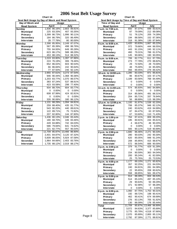| Seat Belt Usage by Day of Week and Road System |              |        |        |              |  |  |
|------------------------------------------------|--------------|--------|--------|--------------|--|--|
| Day of Week and                                | <b>Usage</b> |        |        |              |  |  |
| <b>Road System</b>                             |              | April  |        | July         |  |  |
| Sunday                                         | 1.836        | 86.16% | 2.803  | 89.81%       |  |  |
| <b>Municipal</b>                               | 225          | 83.33% | 407    | 93.35%       |  |  |
| Primary                                        | 1,399        | 86.73% | 1,996  | 90.11%       |  |  |
| Secondary                                      | 184          | 86.79% | 320    | 86.49%       |  |  |
| <b>Interstate</b>                              | 28           | 77.78% | 80     | 80.00%       |  |  |
| Monday                                         | 2.398        | 85.95% | 2.249  | 87.07%       |  |  |
| <b>Municipal</b>                               | 567          | 85.39% | 498    | 86.76%       |  |  |
| Primary                                        | 755          | 84.93% | 649    | 85.28%       |  |  |
| Secondary                                      | 623          | 86.17% | 588    | 88.29%       |  |  |
| <b>Interstate</b>                              | 453          | 88.13% | 514    | 88.32%       |  |  |
| <b>Tuesday</b>                                 | 1.019        | 83.80% | 1,397  | 87.86%       |  |  |
| <b>Municipal</b>                               | 224          | 76.19% | 306    | 78.46%       |  |  |
| Primary                                        | 652          | 86.02% | 603    | 90.54%       |  |  |
| Secondary                                      | 66           | 86.84% | 242    | 90.64%       |  |  |
| <b>Interstate</b>                              | 77           | 87.50% | 246    | 92.13%       |  |  |
| Wednesday                                      | 2,955        | 87.61% | 3,273  | 87.54%       |  |  |
| <b>Municipal</b>                               | 946          | 90.44% | 1.368  | 90.36%       |  |  |
| Primary                                        | 1,203        | 83.77% | 1,070  | 86.57%       |  |  |
| Secondary                                      | 383          | 87.24% | 537    | 88.91%       |  |  |
| Interstate                                     | 423          | 93.58% | 298    | 77.40%       |  |  |
| <b>Thursday</b>                                | 934          | 88.70% | 604    | 83.77%       |  |  |
| <b>Municipal</b>                               | 0            | 0.00%  | 0      | 0.00%        |  |  |
| Primary                                        | 608          | 87.99% | 424    | 82.81%       |  |  |
| Secondary                                      | 0            | 0.00%  | 0      | 0.00%        |  |  |
| <b>Interstate</b>                              | 326          | 90.06% | 180    | 86.12%       |  |  |
| Friday                                         | 1.131        | 88.29% | 1.094  | 84.81%       |  |  |
| <b>Municipal</b>                               | 259          | 88.40% | 435    | 81.77%       |  |  |
| Primary                                        | 543          | 90.20% | 440    | 89.61%       |  |  |
| Secondary                                      | 122          | 89.71% | 75     | 72.82%       |  |  |
| <b>Interstate</b>                              | 207          | 82.80% | 144    | 87.80%       |  |  |
| <b>Saturday</b>                                | 1,436        | 80.13% | 2,046  | 83.44%       |  |  |
| <b>Municipal</b>                               | 180          | 68.70% | 106    | 83.46%       |  |  |
| Primary                                        | 449          | 84.88% | 742    | 84.03%       |  |  |
| Secondary                                      | 586          | 79.84% | 641    | 74.62%       |  |  |
| <b>Interstate</b>                              | 221          | 82.77% | 557    | 95.54%       |  |  |
| <b>Total</b>                                   | 11.709       | 85.87% | 13,466 | 86.90%       |  |  |
| <b>Municipal</b>                               | 2,401        | 84.87% |        | 3,120 87.32% |  |  |
| Primary                                        | 5.609        | 86.05% | 5,924  | 87.58%       |  |  |
| Secondary                                      | 1,964        | 84.66% | 2,403  | 83.76%       |  |  |
| Interstate                                     | 1,735        | 88.12% | 2,019  | 88.17%       |  |  |

**Chart 14**

|                                                | Chart 15           |                  |              |                  |
|------------------------------------------------|--------------------|------------------|--------------|------------------|
| Seat Belt Usage by Time of Day and Road System |                    |                  |              |                  |
| Time of Day and<br><b>Road System</b>          |                    | Usage<br>April   |              | July             |
| 7 a.m. to 7:59 a.m.                            | 650                | 87.37%           |              | 699 83.61%       |
| <b>Municipal</b>                               | 87                 | 79.09%           |              | 212 89.08%       |
| Primary                                        | 51                 | 76.12%           |              | 205 74.28%       |
| Secondary                                      | 194                | 88.58%           | 152          | 87.36%           |
| <b>Interstate</b>                              | 318                | 91.38%           |              | 130 87.84%       |
| 8 a.m. to 8:59 a.m.                            | 1,420              | 83.83%           | 1,667        | 85.22%           |
| <b>Municipal</b>                               | 372                | 79.66%           |              | 444 86.55%       |
| Primary                                        | 443                | 91.15%           |              | 245 92.11%       |
| Secondary                                      | 460                | 79.31%           |              | 788 81.57%       |
| Interstate                                     | 145                | 90.06%           |              | 190 90.05%       |
| 9 a.m. to 9:59 a.m.                            | 706                | 82.77%           | 611          | 87.79%           |
| <b>Municipal</b>                               | 273                | 77.78%           | 270          | 88.82%           |
| Primary                                        | 29                 | 72.50%           | 28           | 70.00%           |
| Secondary                                      | 48                 | 75.00%           | 34           | 85.00%           |
| <b>Interstate</b>                              | 356                | 89.45%           |              | 279 89.42%       |
| 10 a.m. to 10:59 a.m.                          | 1,285              | 83.33%           | 871<br>103   | 85.81%<br>97.17% |
| <b>Municipal</b>                               | 96<br>1,189        | 80.67%<br>83.56% | 768          | 84.49%           |
| Primary<br>Secondary                           | 0                  | 0.00%            | 0            | 0.00%            |
| Interstate                                     | 0                  | $0.00\%$         | 0            | 0.00%            |
| 11 a.m. to 11:59 a.m.                          | 574                | 85.93%           |              | 943 84.88%       |
| <b>Municipal</b>                               | 0                  | $0.00\%$         | 0            | $0.00\%$         |
| Primary                                        | 314                | 85.56%           | 491          | 88.31%           |
| Secondary                                      | 204                | 85.71%           | 337          | 76.94%           |
| Interstate                                     | 56                 | 88.89%           |              | 115 98.29%       |
| 12 p.m. to 12:59 p.m.                          | 1,100              | 81.97%           |              | 1,538 82.20%     |
| <b>Municipal</b>                               | 706                | 85.37%           | 946          | 82.12%           |
| Primary                                        | 240                | 83.62%           |              | 419 84.99%       |
| Secondary                                      | 87                 | 84.47%           |              | 63 87.50%        |
| <b>Interstate</b>                              | 67                 | 53.60%           |              | 110 71.43%       |
| 1 p.m. to 1:59 p.m                             | 764                | 87.41%           |              | 809 89.20%       |
| <b>Municipal</b>                               | 195                | 80.91%           |              | 244 85.61%       |
| Primary                                        | 4                  | 66.67%           | 46           | 90.20%           |
| Secondary                                      | 0                  | $0.00\%$         | 0            | 0.00%            |
| Interstate                                     | 565                | 90.11%           | 519          | 90.89%           |
| 2 p.m. to 2:59 p.m                             | 1,680<br>280       | 86.46%<br>90.03% | 2,271<br>242 | 90.33%<br>90.30% |
| <b>Municipal</b><br>Primary                    | 620                | 85.05%           |              | 948 91.24%       |
| Secondary                                      | 208                | 85.95%           | 415          | 88.87%           |
| <b>Interstate</b>                              | 572                | 86.54%           |              | 666 90.00%       |
| 3 p.m. to 3:59 p.m                             | 379                | 91.77%           |              | 429 91.28%       |
| <b>Municipal</b>                               | 0                  | 0.00%            | 0            | 0.00%            |
| Primary                                        | 154                | 90.59%           | 363          | 94.04%           |
| Secondary                                      | 200                | 95.24%           | 41           | 82.00%           |
| Interstate                                     | 25                 | 75.76%           | 25           | 73.53%           |
| 4 p.m. to 4:59 p.m                             | $\overline{1,}177$ | 89.10%           | 1,271        | 85.82%           |
| <b>Municipal</b>                               | 357                | 92.25%           | 221          | 84.03%           |
| Primary                                        | 240                | 84.81%           | 281          | 84.38%           |
| Secondary                                      | 22                 | 95.65%           | 208          | 80.62%           |
| Interstate                                     | 558                | 88.85%           | 561          | 89.47%           |
| 5 p.m. to 5:59 p.m                             | 914<br>514         | 88.39%<br>85.24% | 604<br>497   | 86.53%<br>85.10% |
| <b>Municipal</b><br>Primary                    | 29                 | 90.63%           | 50           | 89.29%           |
| Secondary                                      | 371                | 92.98%           | 57           | 98.28%           |
| <b>Interstate</b>                              | 0                  | $0.00\%$         | 0            | $0.00\%$         |
| 6 p.m. to 6:59 p.m.                            | 1,060              | 87.75%           | 1,753        | 90.31%           |
| <b>Municipal</b>                               | 192                | 89.72%           | 198          | 90.41%           |
| Primary                                        | 462                | 90.41%           | 674          | 89.99%           |
| Secondary                                      | 276                | 83.13%           | 705          | 91.92%           |
| <b>Interstate</b>                              | 130                | 86.09%           | 176          | 85.44%           |
| Total                                          | 11,709             | 85.87%           | 13,466       | 86.90%           |
| <b>Municipal</b>                               | 3,072              | 84.63%           | 3,377        | 85.89%           |
| Primary                                        | 3,775              | 85.78%           | 4,518        | 87.66%           |
| Secondary                                      | 2,070              | 85.89%           | 2,800        | 85.11%           |
| Interstate                                     | 2,792              | 87.39%           | 2,771        | 88.81%           |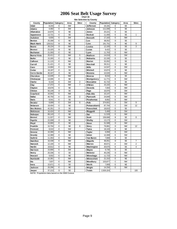**Chart 16 Site Selection by County**

| County             | Population Category |                | Area      | <b>Sites</b>   | County          | Population Category |   | Area      | <b>Sites</b>   |
|--------------------|---------------------|----------------|-----------|----------------|-----------------|---------------------|---|-----------|----------------|
| <b>Adair</b>       | 8,243               | E              | SW        |                | Jefferson       | 16,181              | E | <b>SE</b> |                |
| <b>Adams</b>       | 4.482               | E              | SW        |                | Johnson         | 111,006             | C | <b>SE</b> |                |
| Allamakee          | 14,675              | Ε              | <b>NE</b> |                | Jones           | 20,221              | E | <b>SE</b> |                |
| Appanoose          | 13,721              | E              | <b>SE</b> |                | Keokuk          | 11,400              | E | <b>SE</b> | 1              |
| Audubon            | 6,830               | Ε              | SW        |                | Kossuth         | 17,163              | E | <b>NW</b> |                |
| Benton             | 25,308              | E              | <b>NE</b> |                | Lee             | 38,052              | D | <b>SE</b> |                |
| <b>Black Hawk</b>  | 128,012             | B              | <b>NE</b> |                | Linn            | 191,701             | B | <b>NE</b> | 9              |
| Boone              | 26,224              | D              | <b>NW</b> |                | Louisa          | 12,183              | E | <b>SE</b> | 3              |
| Bremer             | 23,325              | B              | <b>NE</b> |                | Lucas           | 9,422               | E | <b>SE</b> |                |
| <b>Buchanan</b>    | 21,093              | Ε              | <b>NE</b> |                | Lyon            | 11,763              | E | <b>NW</b> |                |
| <b>Buena Vista</b> | 20,411              | E              | <b>NW</b> | 5              | Madison         | 14,019              | E | SW        |                |
| <b>Butler</b>      | 15,305              | Ε              | <b>NE</b> | 5              | Mahaska         | 22,335              | E | <b>SE</b> |                |
| Calhoun            | 11,115              | E              | <b>NW</b> |                | <b>Marion</b>   | 32,052              | D | <b>SE</b> |                |
| Carroll            | 21,421              | E              | <b>NE</b> |                | <b>Marshall</b> | 39,311              | D | <b>NE</b> |                |
| Cass               | 14,684              | E              | SW        |                | <b>Mills</b>    | 14,547              | E | SW        |                |
| Cedar              | 18,187              | E              | <b>SE</b> |                | Mitchell        | 10,874              | E | <b>NE</b> |                |
| Cerro Gordo        | 46,447              | D              | <b>NE</b> |                | Monona          | 10,020              | E | <b>NW</b> |                |
| Cherokee           | 13,035              | Ε              | <b>NW</b> |                | Monroe          | 8,016               | E | <b>SE</b> |                |
| Chickasaw          | 13,095              | E              | <b>NE</b> |                | Montgomery      | 11,771              | E | SW        |                |
| Clarke             | 9,133               | E              | SW        | $\overline{2}$ | Muscatine       | 41,722              | E | <b>SE</b> |                |
| Clay               | 17,372              | E              | <b>NW</b> | $\overline{7}$ | O'Brien         | 15,102              | E | <b>NW</b> |                |
| Clayton            | 18,678              | E              | <b>NE</b> |                | Osceola         | 7,003               | E | <b>NW</b> |                |
| Clinton            | 50,149              | D              | <b>SE</b> |                | Page            | 16,976              | E | SW        |                |
| Crawford           | 16,942              | E              | <b>NW</b> |                | Palo Alto       | 10,147              | E | <b>NW</b> |                |
| <b>Dallas</b>      | 40,750              | Α              | SW        | $\overline{2}$ | <b>Plymouth</b> | 24,849              | E | <b>NW</b> |                |
| <b>Davis</b>       | 8,541               | E              | <b>SE</b> |                | Pocahontas      | 8,662               | E | <b>NW</b> |                |
| Decatur            | 8,689               | E              | SW        | 6              | Polk            | 374,601             | Α | SW        | 9              |
| De law are         | 18,404              | E              | <b>NE</b> |                | Pottaw attami   | 87,704              | C | SW        | 12             |
| Des Moines         | 42,351              | D              | <b>SE</b> |                | Poweshiek       | 18,815              | E | <b>SE</b> |                |
| <b>Dickinson</b>   | 16,424              | E              | <b>NW</b> |                | Ringgold        | 5,469               | E | SW        |                |
| <b>Dubuque</b>     | 89,143              | C              | <b>NE</b> |                | Sac             | 11,529              | E | <b>NW</b> |                |
| Emmet              | 11,027              | E              | <b>NW</b> |                | <b>Scott</b>    | 158,668             | B | <b>SE</b> | 8              |
| Fayette            | 22,008              | D              | <b>NE</b> |                | Shelby          | 13,173              | E | SW        |                |
| Floyd              | 16.900              | E              | <b>NE</b> |                | Sioux           | 31,589              | D | <b>NW</b> |                |
| Franklin           | 10,704              | E              | <b>NE</b> | 6              | Story           | 79,981              | D | <b>NW</b> | 12             |
| Fremont            | 8,010               | E              | SW        |                | Tama            | 18,103              | E | <b>NE</b> |                |
| Greene             | 10,366              | E              | <b>NW</b> |                | Taylor          | 6,958               | E | SW        |                |
| Grundy             | 12,369              | E              | <b>NE</b> |                | Union           | 12,309              | E | SW        |                |
| Guthrie            | 11,353              | $\overline{E}$ | <b>NW</b> |                | Van Buren       | 7,809               | Ē | <b>SE</b> |                |
| <b>Ham ilton</b>   | 16,438              | E              | <b>NW</b> |                | Wapello         | 36,051              | D | <b>SE</b> | $\overline{7}$ |
| Hancock            | 12,100              | E              | <b>NW</b> |                | Warren          | 40,671              | A | SW        | $\overline{2}$ |
| <b>Hardin</b>      | 18,812              | Ε              | <b>NE</b> |                | Washington      | 20,670              | E | <b>SE</b> | 4              |
| Harrison           | 15,666              | E              | SW        |                | Wayne           | 6,730               | E | <b>SE</b> |                |
| Henry              | 20,336              | E              | <b>SE</b> |                | Webster         | 40,235              | D | <b>NW</b> |                |
| Howard             | 9,932               | E              | <b>NE</b> |                | Winnebago       | 11,723              | E | <b>NW</b> |                |
| <b>Hum boldt</b>   | 10,381              | E              | <b>NW</b> |                | Winneshiek      | 21,310              | E | <b>NE</b> |                |
| Ida                | 7,837               | E              | <b>NW</b> |                | Woodbury        | 103,877             | C | <b>NW</b> |                |
| low a              | 15,671              | E              | <b>SE</b> |                | Worth           | 7,909               | E | <b>NE</b> |                |
| Jackson            | 20,296              | E              | <b>NE</b> |                | Wright          | 14,334              | E | <b>NW</b> |                |
| Jasper             | 37,213              | D              | <b>SE</b> |                | <b>Totals</b>   | 2,926,324           |   |           | 100            |

**NOTE: Population data based on the 2000 Census**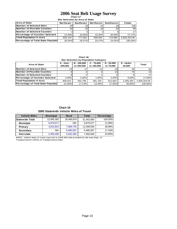#### **Chart 17 2006 Seat Belt Usage Survey**

**Site Selection by Area of State**

| <b>Area of State</b>                 | <b>Northeast</b> | Southeast       | <b>Northwest</b> | Southwest | <b>Totals</b> |
|--------------------------------------|------------------|-----------------|------------------|-----------|---------------|
| <b>INumber of Selected Sites</b>     | 20               | 23 <sub>l</sub> | 24 <sub>1</sub>  | 33        | 100           |
| <b>Number of Possible Counties</b>   | 25               | 25 <sub>l</sub> | 29 l             | <b>20</b> | 99            |
| <b>Number of Selected Counties</b>   |                  |                 |                  |           | 17            |
| Percentage of Counties Selected      | 12.00%           | 16.00%          | 10.34%           | 30.00%    | 17.17%        |
| <b>Total Population in Area</b>      | 835.135          | 777.502         | 599.002          | 714.685   | 2.926.324.00  |
| Percentage of Total State Population | 28.54%           | 26.57%          | 20.47%           | 24.42%    | 100.00%       |

**Chart 18**

**Percentage of Counties Selected** 3.00% 2.00% 1.00% 2.00% 9.00% 17.00% **Total Population in Area**  $456,022$   $501,706$   $391,730$   $521,663$   $1,055,203$  2,926,324.00 **Percentage of Total State Population 15.58% 17.14% 13.39% 17.83% 36.06% 100.00%** 

| Site Selection by Population Category |                     |                           |                            |                           |                     |       |  |  |  |
|---------------------------------------|---------------------|---------------------------|----------------------------|---------------------------|---------------------|-------|--|--|--|
| <b>Area of State</b>                  | A - Over<br>200,000 | B - 150.000<br>to 200,000 | $C - 75.000$<br>to 150,000 | $D - 25.000$<br>to 75,000 | E - Under<br>25.000 | Total |  |  |  |
| Number of Selected Sites              | 13                  |                           |                            | 19 <sup>1</sup>           | 39                  | 61    |  |  |  |
| Number of Possible Counties           |                     |                           |                            | 13                        | 75                  | 24    |  |  |  |
| Number of Selected Counties           |                     |                           |                            |                           |                     | 17    |  |  |  |

**Chart 19 2005 Statewide Vehicle Miles of Travel**

| <b>Vehicle Miles</b>   | <b>Municipal</b> | <b>Rural</b> | <b>Total</b> | Percentage |
|------------------------|------------------|--------------|--------------|------------|
| <b>Statewide Total</b> | 12,945,382       | 18,496,678   | 31,442,060   | 100.00%    |
| <b>Municipal</b>       | 6,879,077        | <b>N/A</b>   | 6,879,077    | 21.88%     |
| Primary                | 3,615,815        | 7,983,735    | 11,599,550   | 36.89%     |
| Secondary              | N/A              | 5,480,587    | 5,480,587    | 17.43%     |
| <b>Interstate</b>      | 2,450,490        | 5,032,356    | 7,482,846    | 23.80%     |

**NOTE:** Vehicle miles of travel reported in 1,000,000 and provided by the lowa Dept. of **Transportation's Office of Transportation Data**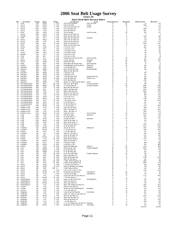# **Chart 20 2006 Seat Belt Usage Survey**

|  | -------- |                             |  |
|--|----------|-----------------------------|--|
|  |          | pril Seat Relt Survey Sites |  |

|                              |                                |                        |                          |                             |                                              | <b>April Seat Belt Survey Sites</b> |                  |                      |            |                |
|------------------------------|--------------------------------|------------------------|--------------------------|-----------------------------|----------------------------------------------|-------------------------------------|------------------|----------------------|------------|----------------|
| Νo                           | County                         | Area                   | Day                      | Time                        | Location                                     | City                                | Population       | System               | Observed   | <b>Belted</b>  |
| ำ                            | Polk                           | <b>SW</b>              | WED                      | 2 PM                        | Aurora @ Beaver                              | Des Moines                          | А                | м                    | 73         | 64             |
| $\overline{\mathbf{c}}$<br>3 | Story<br>Story                 | <b>NW</b><br><b>NW</b> | WED<br>WED               | 6 PM<br><b>PM</b><br>1      | 6th @ Grand<br>Duff Exit @ Hwy 30            | Ames<br>Ames                        | D<br>D           | м<br>P               | 198<br>71  | 171<br>62      |
| 4                            | Story                          | <b>NW</b>              | WED                      | 3<br>PM                     | E23 @ Hwy 69                                 |                                     | D                | S                    | 199        | 171            |
| 5                            | Story                          | <b>NW</b>              | THU                      | 1 PM                        | E63 @ Hwy 65                                 |                                     | D                | s                    | 103        | 87             |
| 6                            | Polk                           | SW                     | <b>SUN</b>               | 1 PM                        | 7th & Grand                                  | Des Moines                          | Α                | М                    | 125        | 67             |
| 7                            | Story                          | <b>NW</b>              | WED                      | 4 PM                        | Hwy 133 @ Hwy 30                             |                                     | D                | P                    | 5          | 5              |
| 8                            | Dallas                         | SW                     | WED                      | 5 PM                        | Hwy 141 @ Hwy 210                            |                                     | А                | P                    | 139        | 131            |
| 9                            | Polk                           | SW                     | <b>SAT</b>               | 1 PM                        | Hwy 160 @ Hwy 69                             | Ankeny                              | А                | P                    | 63         | 56             |
| 10                           | Story                          | <b>NW</b>              | WED                      | 4 PM                        | Hwy 210 @ Hwy 65                             |                                     | D                | P                    | 81         | 55             |
| 11                           | Story                          | <b>NW</b>              | THU                      | 4 PM                        | Hwy 210 @ Hwy 69                             |                                     | D                | P<br>P               | 219        | 173            |
| 12<br>13                     | Story                          | NW<br>SW               | SAT<br><b>SAT</b>        | AM<br>11<br>2<br><b>PM</b>  | Hwy 65 @ Hwy 30<br>Hwy 945 @ Hwy 931         |                                     | D<br>А           | Р                    | 389<br>68  | 337<br>56      |
| 14                           | Polk<br>Story                  | <b>NW</b>              | <b>SUN</b>               | 3<br>PM                     | I-35 Exit #123                               |                                     | D                |                      | 145        | 115            |
| 15                           | Polk                           | SW                     | SAT                      | $\overline{7}$<br>AM        | I-35 Exit #92                                |                                     | A                |                      | 70         | 62             |
| 16                           | Polk                           | SW                     | SAT                      | <b>PM</b><br>4              | I-35 Rest Area                               |                                     | Α                |                      | 19         | 16             |
| 17                           | Story                          | <b>NW</b>              | <b>SUN</b>               | 5<br>PM                     | I-35 Rest Area                               |                                     | D                |                      | 43         | 34             |
| 18                           | Dallas                         | SW                     | SAT                      | <b>PM</b><br>6              | I-80 Exit #110                               |                                     | Α                | ı                    | 14         | 11             |
| 19                           | Polk                           | SW                     | <b>SAT</b>               | <b>PM</b><br>5              | I-80 Exit # 143                              |                                     | Α                | -1                   | 18         | 11             |
| 20                           | Polk                           | SW                     | SAT                      | 9<br>AM                     | Indianola Ave @ SE 8th                       | Des Moines                          | А                | м                    | 30         | 28             |
| 21                           | Story                          | <b>NW</b>              | THU                      | 6<br>PM                     | J Ave. @ 6th                                 | Nevada                              | D                | м                    | 125        | 107            |
| 22                           | Story                          | <b>NW</b>              | WED                      | <b>PM</b><br>$\mathbf{1}$   | Main @ Clark                                 | Ames                                | D                | М                    | 28         | 22             |
| 23                           | Polk                           | SW                     | <b>SAT</b>               | 3<br><b>PM</b>              | Meredith @ Merle Hay                         | Des Moines                          | Α                | м                    | 6          | $\overline{a}$ |
| 24                           | Clarke                         | SW                     | THU                      | 8<br>AM                     | E Washington @ Main St                       | Osceola                             | Е                | M                    | 86         | 73             |
| 25                           | Decat ur                       | SW                     | FRI                      | PM<br>5                     | J 12 @ Hwy 69                                | Weldon                              | Е                | P<br>P               | 36         | 28             |
| 26<br>27                     | Warren<br>Clarke               | SW<br>SW               | WED<br>FRI               | 5<br><b>PM</b><br>3<br>PM   | Hwy 28 @ Hwy 92                              | M artensdale                        | Α<br>Е           | P                    | 84<br>з    | 72<br>3        |
| 28                           | Decat ur                       | SW                     | WED                      | з<br>PM                     | Hwy 34 @ Hwy 69<br>I-35 Exit #12             |                                     | Е                | H                    | 64         | 48             |
| 29                           | Decatur                        | sw                     | SUN                      | 9<br>AM                     | I-35 Exit #22                                |                                     | Е                | ш                    | 24         | 22             |
| 30                           | Decat ur                       | SW                     | <b>SUN</b>               | $\overline{7}$<br>AM        | J 20 @ Hwy 204                               | Garden Grove                        | Е                | s                    | 36         | 26             |
| 31                           | Decat ur                       | SW                     | SUN                      | 11<br>AM                    | J 66 @ Hwy 69                                | Davis City                          | Е                | s                    | 110        | 96             |
| 32                           | Warren                         | SW                     | <b>FRI</b>               | 1 PM                        | R 57 @ Hwy 92                                |                                     | Α                | S                    | 257        | 175            |
| 33                           | Decat ur                       | SW                     | WED                      | 1 PM                        | West Jct. Hwy 69 @ Hwy 2                     | Leon                                | Е                | P                    | 10         | 10             |
| 34                           | Pottawattamie                  | SW                     | SAT                      | 10<br>AM                    | 9th Ave. @ S 16th                            | Council Bluffs                      | C                | м                    | 30         | 27             |
| 35                           | Pottawattamie                  | SW                     | WED                      | 10<br>AM                    | A Ave & 25th St                              | Council Bluffs                      | C                | м                    | 398        | 356            |
| 36                           | Pottawattamie                  | <b>SW</b>              | <b>TUE</b>               | AM<br>9                     | Hwy 191 @ Hwy 83                             |                                     | C                | P                    | 265        | 237            |
| 37                           | Pottawattamie                  | SW                     | <b>SAT</b>               | 8<br>AM                     | Hwy 6 @ Hwy 191                              |                                     | C                | P                    | 348        | 318            |
| 38                           | Pottawattamie                  | SW                     | TUE                      | 7<br>AM                     | Hwy 6 @ Hwy 59                               |                                     | C                | P                    | 299        | 279            |
| 39                           | Pottawattamie                  | SW                     | <b>SUN</b>               | 6<br><b>PM</b>              | Hwy 83 @ Hwy 59                              |                                     | $\mathbf C$      | P                    | 195        | 176            |
| 40                           | Pottawattamie                  | SW                     | TUE                      | 11<br>AM                    | Hwy 92 @ Hwy 59                              |                                     | С                | P                    | 161        | 145            |
| 41<br>42                     | Pottawattamie                  | SW<br>SW               | <b>SUN</b>               | <b>PM</b><br>2<br>8         | $I-29$ Exit #47                              |                                     | С<br>$\mathbf C$ | $\blacksquare$<br>J. | 111        | 101            |
| 43                           | Pottawattamie<br>Pottawattamie | sw                     | WED<br>SAT               | AM<br><b>PM</b><br>12       | I-80 Exit #40<br>I-80 Rest Area              |                                     | C                | -1                   | 416<br>311 | 378<br>280     |
| 44                           | Pottawattamie                  | sw                     | SUN                      | 4 PM                        | L 55 @ Hwy 6                                 |                                     | C                | s                    | 40         | 25             |
| 45                           | Pottawattamie                  | SW                     | WED                      | 12<br><b>PM</b>             | M 16 @ Hwy 92                                |                                     | C                | s                    | 49         | 39             |
| 46                           | Buena Vista                    | <b>NW</b>              | WED                      | 9<br>AM                     | C 49 @ Hwy 71                                |                                     | Е                | s                    | 331        | 308            |
| 47                           | Buena Vista                    | <b>NW</b>              | TUE                      | 9<br>AM                     | Hwy 110 @ Hwy 7                              |                                     | Е                | $\mathsf P$          | 161        | 127            |
| 48                           | Buena Vista                    | <b>NW</b>              | TUE                      | 7<br>AM                     | Hwy 7 @ Hwy 71                               |                                     | Е                | P                    | 435        | 345            |
| 49                           | Buena Vista                    | <b>NW</b>              | TUE                      | AM<br>11                    | Hwy 7 @ Hwy 71                               |                                     | Е                | P                    | 198        | 174            |
| 50                           | Buena Vista                    | <b>NW</b>              | WED                      | 11<br>AM                    | Lake @ Third                                 | Storm Lake                          | Е                | м                    | 439        | 411            |
| 51                           | Clay                           | NW                     | THU                      | 2<br>PM                     | 4th @ Grand                                  | Spencer                             | Е                | М                    | 134        | 98             |
| 52                           | Clay                           | <b>NW</b>              | THU                      | 4<br>PM                     | B 53 @ Hwy 71                                |                                     | Е                | s                    | 136        | 122            |
| 53                           | Clay                           | <b>NW</b>              | <b>SUN</b>               | 7 AM                        | Grand @ 18th                                 | Spencer                             | Е                | м                    | 59         | 43             |
| 54                           | Clay                           | <b>NW</b>              | WED                      | 9<br>AM                     | Hwy 10 @ Hwy 71                              |                                     | Е                | P                    | 40         | 36             |
| 55<br>56                     | Clay                           | <b>NW</b><br><b>NW</b> | SUN<br>THU               | 7<br>AM<br>6<br><b>PM</b>   | Hwy 18 @ Hwy 71<br>Hwy 240 @ Hwy 71          |                                     | Е<br>Е           | P<br>P               | 27<br>350  | 23<br>289      |
| 57                           | Clay<br>Clay                   | <b>NW</b>              | <b>SUN</b>               | 9<br>AM                     | N 14 @ Hwy 18                                |                                     | Е                | S                    | 425        | 354            |
| 58                           | Franklin                       | <b>NE</b>              | <b>MON</b>               | $\overline{4}$<br><b>PM</b> | 1st @ 1st Ave                                | Hampton                             | Е                | M                    | 162        | 136            |
| 59                           | Franklin                       | NE                     | <b>MON</b>               | 10<br>AM                    | C 25 @ Hwy 65                                |                                     | Е                | S                    | 219        | 194            |
| 60                           | <b>Butler</b>                  | <b>NE</b>              | SAT                      | 5<br>PM                     | C 55 @ Hwy 14                                |                                     | Е                | S                    | 34         | 32             |
| 61                           | Franklin                       | <b>NE</b>              | <b>FRI</b>               | 8 AM                        | Hwy 107 @ Hwy 3                              |                                     | Ε                | P                    | 135        | 116            |
| 62                           | <b>Butler</b>                  | <b>NE</b>              | SAT                      | 1 PM                        | Hwy 14 @ Hwy 20                              |                                     | Е                | P                    | 172        | 154            |
| 63                           | Butler                         | NE                     | <b>MON</b>               | 8<br>AM                     | Hwy 14 @ Hwy 3                               |                                     | Е                | P                    | 101        | 89             |
| 64                           | Butler                         | NE                     | FRI                      | 10<br>AM                    | Hwy 188 @ Hwy 3                              |                                     | Ε                | P                    | 213        | 178            |
| 65                           | Franklin                       | <b>NE</b>              | <b>MON</b>               | 2<br><b>PM</b>              | Hwy 65 @ Hwy 3                               |                                     | Е                | Р                    | 97         | 81             |
| 66                           | Franklin                       | <b>NE</b>              | <b>SAT</b>               | з<br><b>PM</b>              | I-35 Exit #165                               |                                     | Е                |                      | 141        | 118            |
| 67                           | Franklin                       | <b>NE</b>              | <b>MON</b>               | 6<br><b>PM</b>              | I-35 Exit #170                               |                                     | Е<br>Е           |                      | 117        | 100            |
| 68                           | Butler<br>69 Linn              | NE<br>NE               | FRI<br>WED               | PM<br>12<br>7<br>AM         | Main @ Railroad<br>8th Ave @ 2nd             | Allison<br>Cedar Rapids             | в                | м<br>м               | 241<br>384 | 195<br>341     |
| 70                           | Linn                           | <b>NE</b>              | WED                      | 9 AM                        | E 34 @ Hwy 13                                |                                     | в                | S                    | 33         | 25             |
| 71                           | Linn                           | <b>NE</b>              | WED                      | 11 AM                       | E 70 @ Hwy 151                               |                                     | в                | S                    | 63         | 49             |
| 72                           | Linn                           | NE                     | FRI                      | 10<br>AM                    | First Ave @ 29th                             | Cedar Rapids                        | в                | м                    | 48         | 45             |
| 73                           | Linn                           | <b>NE</b>              | <b>FRI</b>               | 8<br>AM                     | Hwy 1 @ Hwy 30                               |                                     | в                | P                    | 18         | 16             |
| 74                           | Linn                           | <b>NE</b>              | SAT                      | 12<br>PM                    | Hwy 13 @ Hwy 151                             |                                     | в                | P                    | 279        | 232            |
| 75                           | Linn                           | <b>NE</b>              | <b>SAT</b>               | 8<br>AM                     | Hwy 30 @ Hwy 1                               |                                     | в                | P                    | 66         | 53             |
| 76                           | Linn                           | <b>NE</b>              | SAT                      | 10<br>AM                    | I-380 Mile Marker 13                         |                                     | B                | $\mathbf{I}$         | 108        | 95             |
| 77                           | Linn                           | <b>NE</b>              | <b>FRI</b>               | 12<br>PM                    | I-380 Mile Marker 25                         |                                     | B                | $\mathbf{I}$         | 399        | 371            |
| 78                           | Scott                          | <b>SE</b>              | SUN                      | 9<br>AM                     | F 55 Exit @ Hwy 61                           |                                     | в                | P                    | 151        | 140            |
| 79                           | Scott                          | <b>SE</b>              | <b>SUN</b>               | 11 AM                       | Hwy 61 @ Hwy 22 Ramp                         |                                     | в                | P                    | 65         | 56             |
| 80                           | Scott                          | <b>SE</b>              | FRI                      | PM 0                        | I-280 Hwy 61 Exit                            |                                     | в                | -1<br>J.             | 34         | 30             |
| 81<br>82                     | Scott<br>Scott                 | <b>SE</b><br><b>SE</b> | SUN<br><b>MON</b>        | 7 AM<br>12<br>PM            | I-80 Exit #284 (Y40)<br>Kimberly @ Harrison  | Davenport                           | в<br>в           | м                    | 210<br>22  | 200<br>16      |
| 83                           | Scott                          | <b>SE</b>              | FRI                      | 1<br>PM                     | Locust @ Brady                               | Davenport                           | в                | м                    | 13         | 12             |
| 84                           | Scott                          | <b>SE</b>              | <b>FRI</b>               | 5<br>PM                     | Long Grove Exit @ Hwy 61                     |                                     | в                | P                    | 227        | 164            |
| 85                           | Scott                          | <b>SE</b>              | <b>MON</b>               | 10<br>AM                    | Y 48 @ Hwy 61                                |                                     | в                | S                    | 4          | 3              |
| 86                           | Washington                     | SE                     | <b>SUN</b>               | 3<br>PM                     | East 7th @ North 4th                         | Washington                          | E                | м                    | 125        | 116            |
| 87                           | Washington                     | <b>SE</b>              | <b>SUN</b>               | PM<br>5                     | G6W @ Hwy 92                                 |                                     | Е                | s                    | 36         | 32             |
| 88                           | Washington                     | <b>SE</b>              | <b>MON</b>               | 11 AM                       | Hwy 1 @ Hwy 92                               |                                     | Ε                | P                    | 48         | 40             |
| 89                           | Washington                     | <b>SE</b>              | TUE                      | <b>PM</b><br>6              | Hwy 218 Ramp @ Hwy 92                        |                                     | Е                | P                    | 169        | 143            |
| 90                           | Louisa                         | <b>SE</b>              | TUE                      | 2<br>PM                     | Hwy 92 @ Hwy 61                              |                                     | Е                | P                    | 134        | 124            |
| 91                           | Louisa                         | <b>SE</b>              | <b>SUN</b>               | <b>PM</b><br>1              | South 4th @ Washington                       | Wapello                             | Е                | м                    | 36         | 30             |
| 92                           | Louisa                         | <b>SE</b>              | TUE                      | $\overline{4}$<br><b>PM</b> | X 43 @ Hwy 92                                |                                     | Ε                | s                    | 84         | 69             |
| 93                           | Wapello                        | <b>SE</b>              | <b>FRI</b>               | 9<br>AM                     | Church @ Richmond                            | Ottumwa                             | D                | м<br>P               | 107        | 88             |
| 94<br>95                     | Wapello<br>Wapello             | <b>SE</b><br><b>SE</b> | <b>FRI</b><br><b>MON</b> | 7<br>AM<br>2<br>PM          | East Jct. Hwy 34 @ Hwy 63<br>Hwy 137@ Hwy 63 |                                     | D<br>D           | P                    | 28<br>266  | 25<br>249      |
| 96                           | Keokuk                         | <b>SE</b>              | <b>FRI</b>               | 11 AM                       | Hwy 149 @ Hwy 23                             |                                     | D                | P                    | 32         | 29             |
| 97                           | Wapello                        | <b>SE</b>              | TUE                      | PM<br>6                     | Hwy 16 @ Hwy 34                              |                                     | D                | P                    | 172        | 132            |
| 98                           | Wapello                        | <b>SE</b>              | TUE                      | 2<br><b>PM</b>              | T 61 @ Hwy 34                                |                                     | D                | s                    | 153        | 141            |
| 99                           | Wapello                        | <b>SE</b>              | TUE                      | 4<br>PM                     | V 37 (College St) @ Hwy 34 Agency            |                                     | D                | s                    | 97         | 80             |
|                              | 100 Wapello                    | <b>SE</b>              | <b>MON</b>               | 4 PM                        | Wapello St @ Albia Rd                        | Ottumwa                             | Е                | м                    | 94         | 81             |
|                              |                                |                        |                          |                             |                                              |                                     |                  |                      | 13,636     | 11,709         |